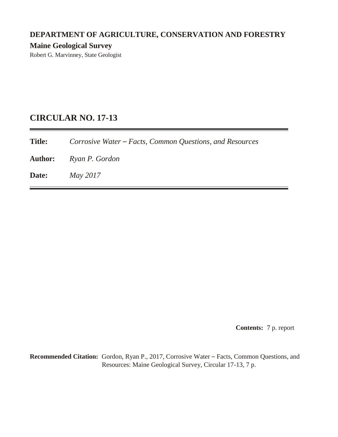# **DEPARTMENT OF AGRICULTURE, CONSERVATION AND FORESTRY Maine Geological Survey**

Robert G. Marvinney, State Geologist

## **CIRCULAR NO. 17-13**

**Title:** *Corrosive Water – Facts, Common Questions, and Resources*

**Author:** *Ryan P. Gordon*

**Date:** *May 2017*

**Contents:** 7 p. report

**Recommended Citation:** Gordon, Ryan P., 2017, Corrosive Water – Facts, Common Questions, and Resources: Maine Geological Survey, Circular 17-13, 7 p.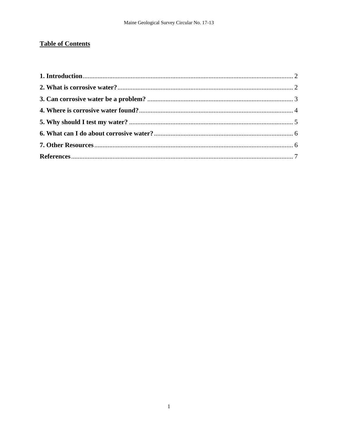## **Table of Contents**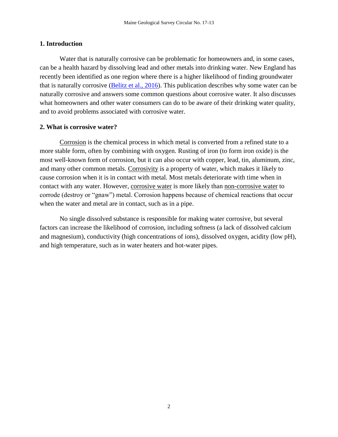#### <span id="page-2-0"></span>**1. Introduction**

Water that is naturally corrosive can be problematic for homeowners and, in some cases, can be a health hazard by dissolving lead and other metals into drinking water. New England has recently been identified as one region where there is a higher likelihood of finding groundwater that is naturally corrosive [\(Belitz et al., 2016\)](http://dx.doi.org/10.3133/sir20165092). This publication describes why some water can be naturally corrosive and answers some common questions about corrosive water. It also discusses what homeowners and other water consumers can do to be aware of their drinking water quality, and to avoid problems associated with corrosive water.

#### <span id="page-2-1"></span>**2. What is corrosive water?**

Corrosion is the chemical process in which metal is converted from a refined state to a more stable form, often by combining with oxygen. Rusting of iron (to form iron oxide) is the most well-known form of corrosion, but it can also occur with copper, lead, tin, aluminum, zinc, and many other common metals. Corrosivity is a property of water, which makes it likely to cause corrosion when it is in contact with metal. Most metals deteriorate with time when in contact with any water. However, corrosive water is more likely than non-corrosive water to corrode (destroy or "gnaw") metal. Corrosion happens because of chemical reactions that occur when the water and metal are in contact, such as in a pipe.

No single dissolved substance is responsible for making water corrosive, but several factors can increase the likelihood of corrosion, including softness (a lack of dissolved calcium and magnesium), conductivity (high concentrations of ions), dissolved oxygen, acidity (low pH), and high temperature, such as in water heaters and hot-water pipes.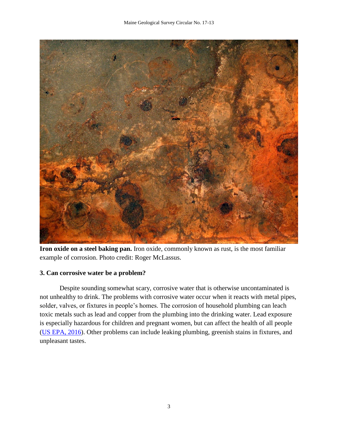

**Iron oxide on a steel baking pan.** Iron oxide, commonly known as rust, is the most familiar example of corrosion. Photo credit: Roger McLassus.

## <span id="page-3-0"></span>**3. Can corrosive water be a problem?**

Despite sounding somewhat scary, corrosive water that is otherwise uncontaminated is not unhealthy to drink. The problems with corrosive water occur when it reacts with metal pipes, solder, valves, or fixtures in people's homes. The corrosion of household plumbing can leach toxic metals such as lead and copper from the plumbing into the drinking water. Lead exposure is especially hazardous for children and pregnant women, but can affect the health of all people [\(US EPA, 2016\)](https://www.epa.gov/ground-water-and-drinking-water/basic-information-about-lead-drinking-water). Other problems can include leaking plumbing, greenish stains in fixtures, and unpleasant tastes.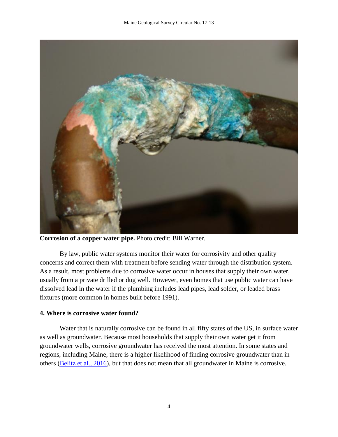

**Corrosion of a copper water pipe.** Photo credit: Bill Warner.

By law, public water systems monitor their water for corrosivity and other quality concerns and correct them with treatment before sending water through the distribution system. As a result, most problems due to corrosive water occur in houses that supply their own water, usually from a private drilled or dug well. However, even homes that use public water can have dissolved lead in the water if the plumbing includes lead pipes, lead solder, or leaded brass fixtures (more common in homes built before 1991).

#### <span id="page-4-0"></span>**4. Where is corrosive water found?**

Water that is naturally corrosive can be found in all fifty states of the US, in surface water as well as groundwater. Because most households that supply their own water get it from groundwater wells, corrosive groundwater has received the most attention. In some states and regions, including Maine, there is a higher likelihood of finding corrosive groundwater than in others [\(Belitz et al., 2016\)](http://dx.doi.org/10.3133/sir20165092), but that does not mean that all groundwater in Maine is corrosive.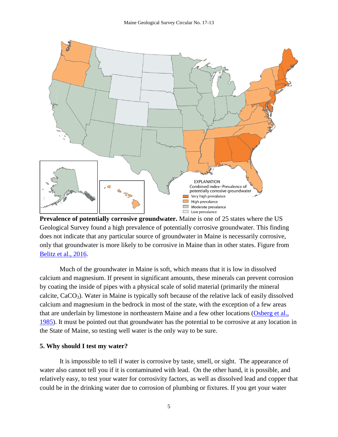

**Prevalence of potentially corrosive groundwater.** Maine is one of 25 states where the US Geological Survey found a high prevalence of potentially corrosive groundwater. This finding does not indicate that any particular source of groundwater in Maine is necessarily corrosive, only that groundwater is more likely to be corrosive in Maine than in other states. Figure from [Belitz et al., 2016.](http://dx.doi.org/10.3133/sir20165092)

Much of the groundwater in Maine is soft, which means that it is low in dissolved calcium and magnesium. If present in significant amounts, these minerals can prevent corrosion by coating the inside of pipes with a physical scale of solid material (primarily the mineral calcite,  $CaCO<sub>3</sub>$ ). Water in Maine is typically soft because of the relative lack of easily dissolved calcium and magnesium in the bedrock in most of the state, with the exception of a few areas that are underlain by limestone in northeastern Maine and a few other locations [\(Osberg et al.,](http://digitalmaine.com/mgs_maps/23)  [1985\)](http://digitalmaine.com/mgs_maps/23). It must be pointed out that groundwater has the potential to be corrosive at any location in the State of Maine, so testing well water is the only way to be sure.

#### <span id="page-5-0"></span>**5. Why should I test my water?**

It is impossible to tell if water is corrosive by taste, smell, or sight. The appearance of water also cannot tell you if it is contaminated with lead. On the other hand, it is possible, and relatively easy, to test your water for corrosivity factors, as well as dissolved lead and copper that could be in the drinking water due to corrosion of plumbing or fixtures. If you get your water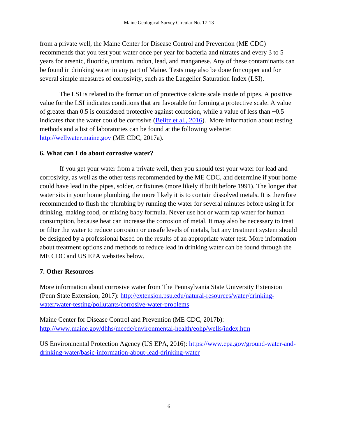from a private well, the Maine Center for Disease Control and Prevention (ME CDC) recommends that you test your water once per year for bacteria and nitrates and every 3 to 5 years for arsenic, fluoride, uranium, radon, lead, and manganese. Any of these contaminants can be found in drinking water in any part of Maine. Tests may also be done for copper and for several simple measures of corrosivity, such as the Langelier Saturation Index (LSI).

The LSI is related to the formation of protective calcite scale inside of pipes. A positive value for the LSI indicates conditions that are favorable for forming a protective scale. A value of greater than 0.5 is considered protective against corrosion, while a value of less than −0.5 indicates that the water could be corrosive [\(Belitz et al., 2016\)](http://dx.doi.org/10.3133/sir20165092). More information about testing methods and a list of laboratories can be found at the following website: [http://wellwater.maine.gov](http://wellwater.maine.gov/) (ME CDC, 2017a).

## <span id="page-6-0"></span>**6. What can I do about corrosive water?**

If you get your water from a private well, then you should test your water for lead and corrosivity, as well as the other tests recommended by the ME CDC, and determine if your home could have lead in the pipes, solder, or fixtures (more likely if built before 1991). The longer that water sits in your home plumbing, the more likely it is to contain dissolved metals. It is therefore recommended to flush the plumbing by running the water for several minutes before using it for drinking, making food, or mixing baby formula. Never use hot or warm tap water for human consumption, because heat can increase the corrosion of metal. It may also be necessary to treat or filter the water to reduce corrosion or unsafe levels of metals, but any treatment system should be designed by a professional based on the results of an appropriate water test. More information about treatment options and methods to reduce lead in drinking water can be found through the ME CDC and US EPA websites below.

## <span id="page-6-1"></span>**7. Other Resources**

More information about corrosive water from The Pennsylvania State University Extension (Penn State Extension, 2017): [http://extension.psu.edu/natural-resources/water/drinking](http://extension.psu.edu/natural-resources/water/drinking-water/water-testing/pollutants/corrosive-water-problems)[water/water-testing/pollutants/corrosive-water-problems](http://extension.psu.edu/natural-resources/water/drinking-water/water-testing/pollutants/corrosive-water-problems)

Maine Center for Disease Control and Prevention (ME CDC, 2017b): <http://www.maine.gov/dhhs/mecdc/environmental-health/eohp/wells/index.htm>

US Environmental Protection Agency (US EPA, 2016): [https://www.epa.gov/ground-water-and](https://www.epa.gov/ground-water-and-drinking-water/basic-information-about-lead-drinking-water)[drinking-water/basic-information-about-lead-drinking-water](https://www.epa.gov/ground-water-and-drinking-water/basic-information-about-lead-drinking-water)